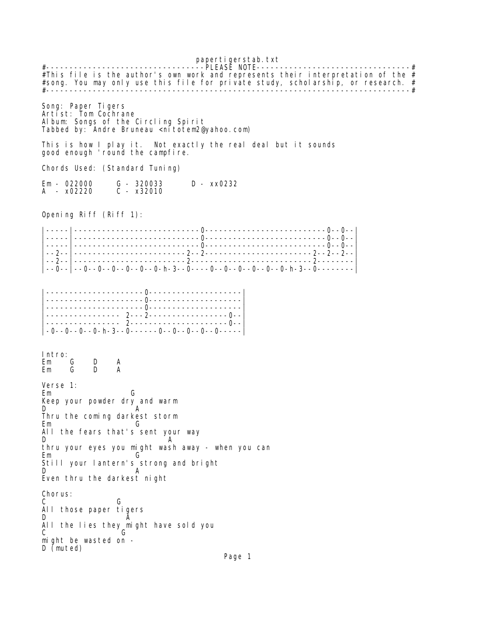papertigerstab.txt #----------------------------------PLEASE NOTE---------------------------------# #This file is the author's own work and represents their interpretation of the  $#$ #song. You may only use this file for private study, scholarship, or research. # #------------------------------------------------------------------------------# Song: Paper Tigers Artist: Tom Cochrane Album: Songs of the Circling Spirit Tabbed by: Andre Bruneau <nitotem2@yahoo.com) This is how I play it. Not exactly the real deal but it sounds good enough 'round the campfire. Chords Used: (Standard Tuning) Em - 022000 G - 320033 D - xx0232  $A - x02220$ 

Opening Riff (Riff 1):

|-----|---------------------------0--------------------------0--0--| |-----|---------------------------0--------------------------0--0--| |-----|---------------------------0--------------------------0--0--| |--2--|------------------------2--2-----------------------2--2--2--| |--2--|------------------------2--------------------------2--------| |--0--|--0--0--0--0--0--0-h-3--0----0--0--0--0--0--0-h-3--0--------|

| $\vert$ -0--0--0--0-h-3--0------0--0--0--0--0----- |  |
|----------------------------------------------------|--|

Intro: Em G D A Em G D

Verse 1: Em G Keep your powder dry and warm D A Thru the coming darkest storm Em G All the fears that's sent your way D A thru your eyes you might wash away - when you can Em G Still your lantern's strong and bright D A Even thru the darkest night Chorus: C G All those paper tigers D **A** All the lies they might have sold you<br>C C G might be wasted on - D (muted)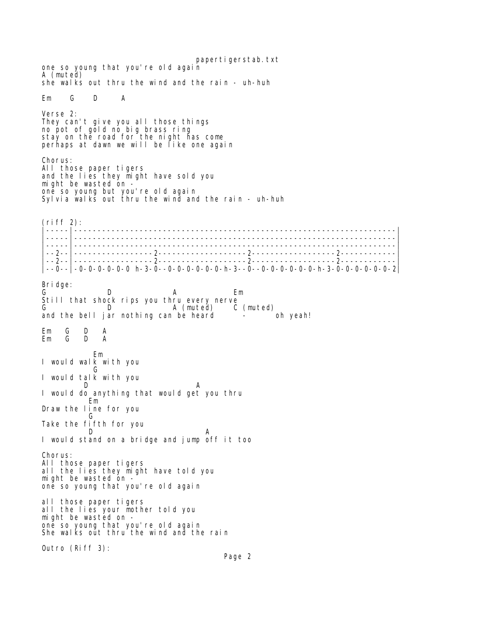papertigerstab.txt one so young that you're old again A (muted) she walks out thru the wind and the rain - uh-huh Em G D A Verse 2: They can't give you all those things no pot of gold no big brass ring stay on the road for the night has come perhaps at dawn we will be like one again Chorus: All those paper tigers and the lies they might have sold you might be wasted on one so young but you're old again Sylvia walks out thru the wind and the rain - uh-huh  $(riff 2)$ : |-----|---------------------------------------------------------------------| |-----|---------------------------------------------------------------------| |-----|---------------------------------------------------------------------| |--2--|-----------------2-------------------2------------------2------------| |--2--|-----------------2-------------------2------------------2------------| |--0--|-0-0-0-0-0-0 h-3-0--0-0-0-0-0-0-h-3--0--0-0-0-0-0-0-h-3-0-0-0-0-0-0-2| Bridge: G D A Em Still that shock rips you thru every nerve G D A (muted) C (muted) and the bell jar nothing can be heard Em G D A G D  $\overline{G}$  Em I would walk with you **G** Service Contract Contract Contract Contract Contract Contract Contract Contract Contract Contract Contract Co I would talk with you D A I would do anything that would get you thru Em Draw the line for you **Green** Green Green Green Green Green Green Green Green Green Green Green Green Green Green Green Green Green G Take the fifth for you<br>D D A I would stand on a bridge and jump off it too Chorus: All those paper tigers all the lies they might have told you might be wasted on one so young that you're old again all those paper tigers all the lies your mother told you might be wasted on one so young that you're old again She walks out thru the wind and the rain Outro (Riff 3):